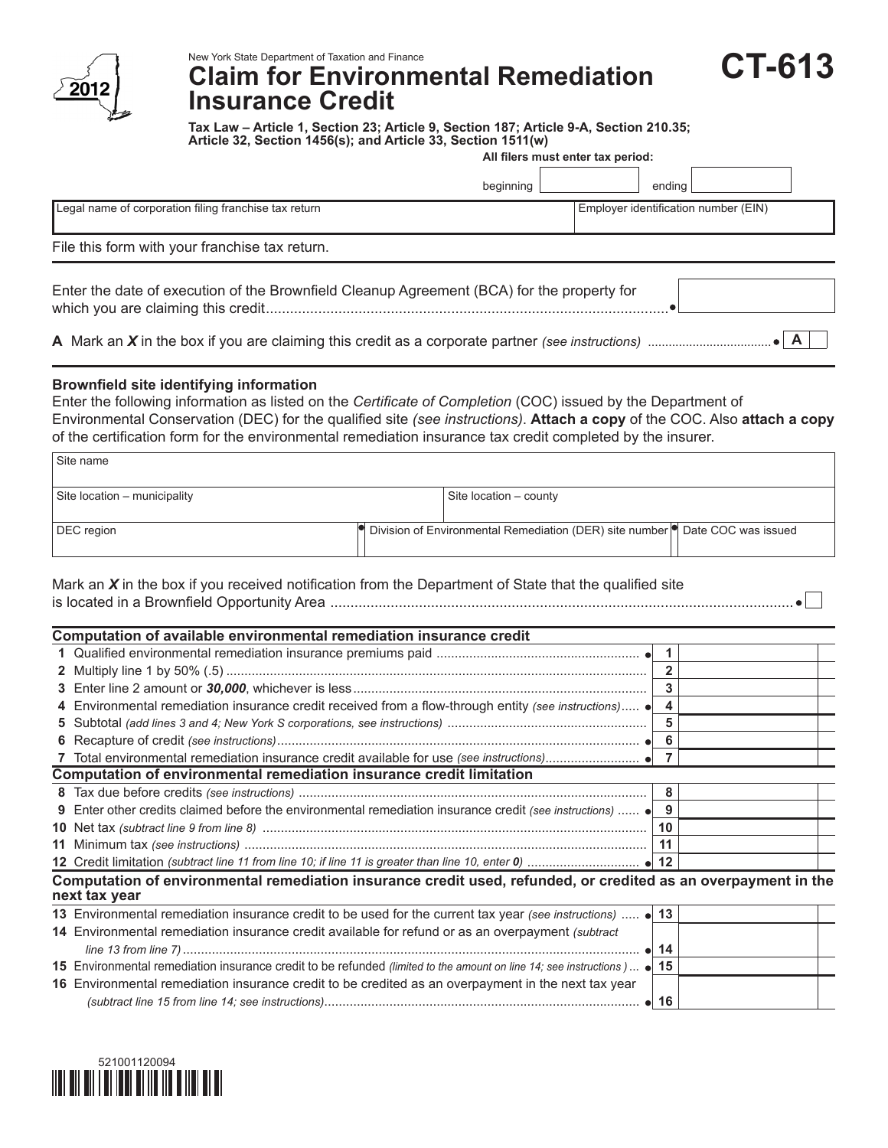

## **Claim for Environmental Remediation Insurance Credit**

**Tax Law – Article 1, Section 23; Article 9, Section 187; Article 9-A, Section 210.35; Article 32, Section 1456(s); and Article 33, Section 1511(w)**

**CT-613**

|                                                                                            | All filers must enter tax period: |                                      |  |  |  |  |  |
|--------------------------------------------------------------------------------------------|-----------------------------------|--------------------------------------|--|--|--|--|--|
|                                                                                            | beginning                         | endina                               |  |  |  |  |  |
| Legal name of corporation filing franchise tax return                                      |                                   | Employer identification number (EIN) |  |  |  |  |  |
| File this form with your franchise tax return.                                             |                                   |                                      |  |  |  |  |  |
| Enter the date of execution of the Brownfield Cleanup Agreement (BCA) for the property for |                                   |                                      |  |  |  |  |  |
|                                                                                            |                                   |                                      |  |  |  |  |  |

## **Brownfield site identifying information**

Enter the following information as listed on the *Certificate of Completion* (COC) issued by the Department of Environmental Conservation (DEC) for the qualified site *(see instructions)*. **Attach a copy** of the COC. Also **attach a copy** of the certification form for the environmental remediation insurance tax credit completed by the insurer.

| Site name                    |                                                                                                 |  |
|------------------------------|-------------------------------------------------------------------------------------------------|--|
| Site location - municipality | Site location – county                                                                          |  |
| DEC region                   | $\bullet$ Division of Environmental Remediation (DER) site number $\bullet$ Date COC was issued |  |

Mark an *X* in the box if you received notification from the Department of State that the qualified site is located in a Brownfield Opportunity Area ...................................................................................................................

|   | Computation of available environmental remediation insurance credit                                                             |              |  |
|---|---------------------------------------------------------------------------------------------------------------------------------|--------------|--|
|   |                                                                                                                                 |              |  |
|   |                                                                                                                                 |              |  |
|   |                                                                                                                                 | 3            |  |
|   | 4 Environmental remediation insurance credit received from a flow-through entity (see instructions) .                           | 4            |  |
|   |                                                                                                                                 | 5            |  |
|   |                                                                                                                                 | 6            |  |
|   |                                                                                                                                 |              |  |
|   | Computation of environmental remediation insurance credit limitation                                                            |              |  |
|   |                                                                                                                                 | 8            |  |
| 9 | Enter other credits claimed before the environmental remediation insurance credit (see instructions)                            | 9            |  |
|   |                                                                                                                                 | 10           |  |
|   |                                                                                                                                 | 11           |  |
|   |                                                                                                                                 |              |  |
|   | Computation of environmental remediation insurance credit used, refunded, or credited as an overpayment in the<br>next tax year |              |  |
|   | 13 Environmental remediation insurance credit to be used for the current tax year (see instructions)  • 13                      |              |  |
|   | 14 Environmental remediation insurance credit available for refund or as an overpayment (subtract                               |              |  |
|   |                                                                                                                                 |              |  |
|   | 15 Environmental remediation insurance credit to be refunded (limited to the amount on line 14; see instructions) • 15          |              |  |
|   | 16 Environmental remediation insurance credit to be credited as an overpayment in the next tax year                             |              |  |
|   |                                                                                                                                 | $\bullet$ 16 |  |